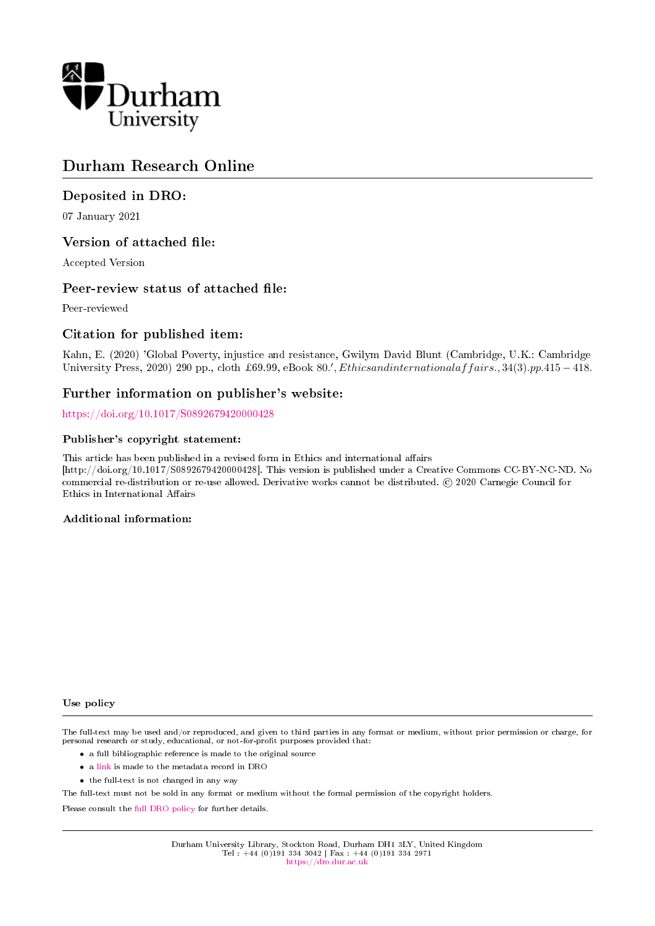

# Durham Research Online

# Deposited in DRO:

07 January 2021

# Version of attached file:

Accepted Version

# Peer-review status of attached file:

Peer-reviewed

# Citation for published item:

Kahn, E. (2020) 'Global Poverty, injustice and resistance, Gwilym David Blunt (Cambridge, U.K.: Cambridge University Press, 2020) 290 pp., cloth £69.99, eBook 80.', *Ethicsandinternationalaffairs.*,  $34(3)$ .pp.415 – 418.

### Further information on publisher's website:

<https://doi.org/10.1017/S0892679420000428>

#### Publisher's copyright statement:

This article has been published in a revised form in Ethics and international affairs [http://doi.org/10.1017/S0892679420000428]. This version is published under a Creative Commons CC-BY-NC-ND. No commercial re-distribution or re-use allowed. Derivative works cannot be distributed. © 2020 Carnegie Council for Ethics in International Affairs

#### Additional information:

#### Use policy

The full-text may be used and/or reproduced, and given to third parties in any format or medium, without prior permission or charge, for personal research or study, educational, or not-for-profit purposes provided that:

- a full bibliographic reference is made to the original source
- a [link](http://dro.dur.ac.uk/32414/) is made to the metadata record in DRO
- the full-text is not changed in any way

The full-text must not be sold in any format or medium without the formal permission of the copyright holders.

Please consult the [full DRO policy](https://dro.dur.ac.uk/policies/usepolicy.pdf) for further details.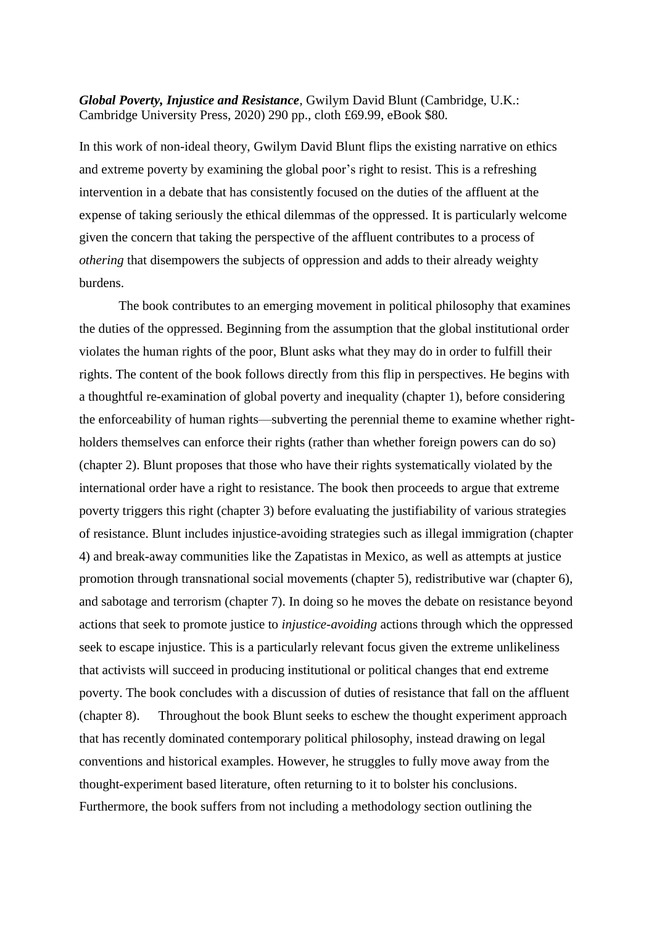## *Global Poverty, Injustice and Resistance,* Gwilym David Blunt (Cambridge, U.K.: Cambridge University Press, 2020) 290 pp., cloth £69.99, eBook \$80.

In this work of non-ideal theory, Gwilym David Blunt flips the existing narrative on ethics and extreme poverty by examining the global poor's right to resist. This is a refreshing intervention in a debate that has consistently focused on the duties of the affluent at the expense of taking seriously the ethical dilemmas of the oppressed. It is particularly welcome given the concern that taking the perspective of the affluent contributes to a process of *othering* that disempowers the subjects of oppression and adds to their already weighty burdens.

The book contributes to an emerging movement in political philosophy that examines the duties of the oppressed. Beginning from the assumption that the global institutional order violates the human rights of the poor, Blunt asks what they may do in order to fulfill their rights. The content of the book follows directly from this flip in perspectives. He begins with a thoughtful re-examination of global poverty and inequality (chapter 1), before considering the enforceability of human rights—subverting the perennial theme to examine whether rightholders themselves can enforce their rights (rather than whether foreign powers can do so) (chapter 2). Blunt proposes that those who have their rights systematically violated by the international order have a right to resistance. The book then proceeds to argue that extreme poverty triggers this right (chapter 3) before evaluating the justifiability of various strategies of resistance. Blunt includes injustice-avoiding strategies such as illegal immigration (chapter 4) and break-away communities like the Zapatistas in Mexico, as well as attempts at justice promotion through transnational social movements (chapter 5), redistributive war (chapter 6), and sabotage and terrorism (chapter 7). In doing so he moves the debate on resistance beyond actions that seek to promote justice to *injustice*-*avoiding* actions through which the oppressed seek to escape injustice. This is a particularly relevant focus given the extreme unlikeliness that activists will succeed in producing institutional or political changes that end extreme poverty. The book concludes with a discussion of duties of resistance that fall on the affluent (chapter 8). Throughout the book Blunt seeks to eschew the thought experiment approach that has recently dominated contemporary political philosophy, instead drawing on legal conventions and historical examples. However, he struggles to fully move away from the thought-experiment based literature, often returning to it to bolster his conclusions. Furthermore, the book suffers from not including a methodology section outlining the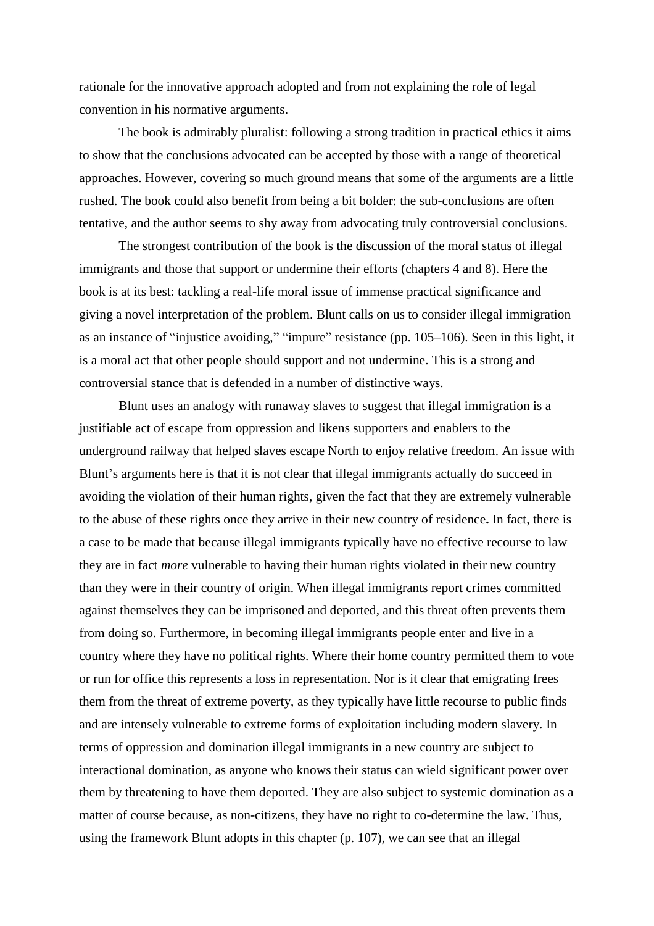rationale for the innovative approach adopted and from not explaining the role of legal convention in his normative arguments.

The book is admirably pluralist: following a strong tradition in practical ethics it aims to show that the conclusions advocated can be accepted by those with a range of theoretical approaches. However, covering so much ground means that some of the arguments are a little rushed. The book could also benefit from being a bit bolder: the sub-conclusions are often tentative, and the author seems to shy away from advocating truly controversial conclusions.

The strongest contribution of the book is the discussion of the moral status of illegal immigrants and those that support or undermine their efforts (chapters 4 and 8). Here the book is at its best: tackling a real-life moral issue of immense practical significance and giving a novel interpretation of the problem. Blunt calls on us to consider illegal immigration as an instance of "injustice avoiding," "impure" resistance (pp. 105–106). Seen in this light, it is a moral act that other people should support and not undermine. This is a strong and controversial stance that is defended in a number of distinctive ways.

Blunt uses an analogy with runaway slaves to suggest that illegal immigration is a justifiable act of escape from oppression and likens supporters and enablers to the underground railway that helped slaves escape North to enjoy relative freedom. An issue with Blunt's arguments here is that it is not clear that illegal immigrants actually do succeed in avoiding the violation of their human rights, given the fact that they are extremely vulnerable to the abuse of these rights once they arrive in their new country of residence**.** In fact, there is a case to be made that because illegal immigrants typically have no effective recourse to law they are in fact *more* vulnerable to having their human rights violated in their new country than they were in their country of origin. When illegal immigrants report crimes committed against themselves they can be imprisoned and deported, and this threat often prevents them from doing so. Furthermore, in becoming illegal immigrants people enter and live in a country where they have no political rights. Where their home country permitted them to vote or run for office this represents a loss in representation. Nor is it clear that emigrating frees them from the threat of extreme poverty, as they typically have little recourse to public finds and are intensely vulnerable to extreme forms of exploitation including modern slavery. In terms of oppression and domination illegal immigrants in a new country are subject to interactional domination, as anyone who knows their status can wield significant power over them by threatening to have them deported. They are also subject to systemic domination as a matter of course because, as non-citizens, they have no right to co-determine the law. Thus, using the framework Blunt adopts in this chapter (p. 107), we can see that an illegal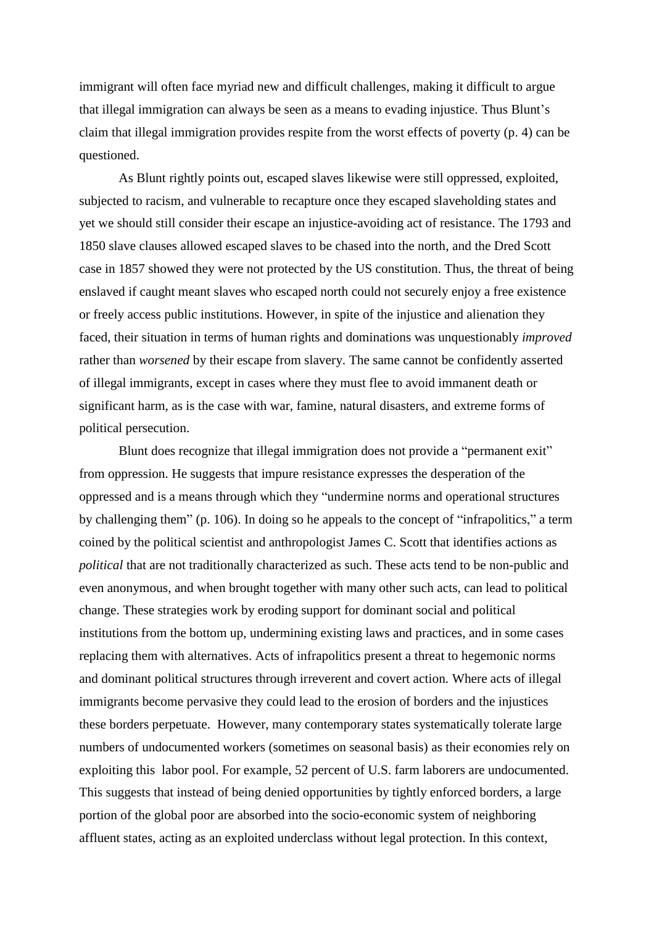immigrant will often face myriad new and difficult challenges, making it difficult to argue that illegal immigration can always be seen as a means to evading injustice. Thus Blunt's claim that illegal immigration provides respite from the worst effects of poverty (p. 4) can be questioned.

As Blunt rightly points out, escaped slaves likewise were still oppressed, exploited, subjected to racism, and vulnerable to recapture once they escaped slaveholding states and yet we should still consider their escape an injustice-avoiding act of resistance. The 1793 and 1850 slave clauses allowed escaped slaves to be chased into the north, and the Dred Scott case in 1857 showed they were not protected by the US constitution. Thus, the threat of being enslaved if caught meant slaves who escaped north could not securely enjoy a free existence or freely access public institutions. However, in spite of the injustice and alienation they faced, their situation in terms of human rights and dominations was unquestionably *improved* rather than *worsened* by their escape from slavery. The same cannot be confidently asserted of illegal immigrants, except in cases where they must flee to avoid immanent death or significant harm, as is the case with war, famine, natural disasters, and extreme forms of political persecution.

Blunt does recognize that illegal immigration does not provide a "permanent exit" from oppression. He suggests that impure resistance expresses the desperation of the oppressed and is a means through which they "undermine norms and operational structures by challenging them" (p. 106). In doing so he appeals to the concept of "infrapolitics," a term coined by the political scientist and anthropologist James C. Scott that identifies actions as *political* that are not traditionally characterized as such. These acts tend to be non-public and even anonymous, and when brought together with many other such acts, can lead to political change. These strategies work by eroding support for dominant social and political institutions from the bottom up, undermining existing laws and practices, and in some cases replacing them with alternatives. Acts of infrapolitics present a threat to hegemonic norms and dominant political structures through irreverent and covert action. Where acts of illegal immigrants become pervasive they could lead to the erosion of borders and the injustices these borders perpetuate. However, many contemporary states systematically tolerate large numbers of undocumented workers (sometimes on seasonal basis) as their economies rely on exploiting this labor pool. For example, 52 percent of U.S. farm laborers are undocumented. This suggests that instead of being denied opportunities by tightly enforced borders, a large portion of the global poor are absorbed into the socio-economic system of neighboring affluent states, acting as an exploited underclass without legal protection. In this context,